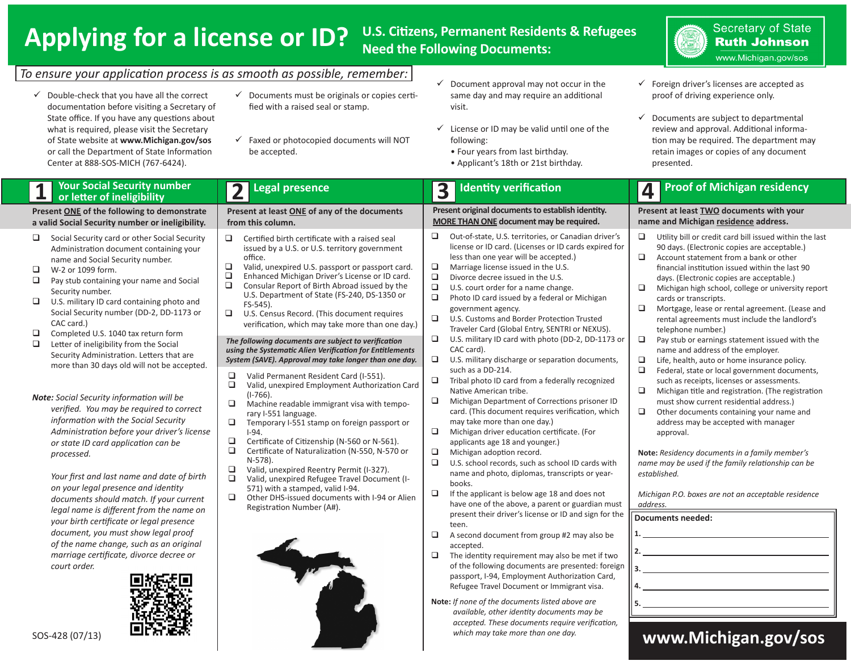## **Applying for a license or ID?**

### **U.S. Citizens, Permanent Residents & Refugees Need the Following Documents:**



*To ensure your application process is as smooth as possible, remember:*

- $\checkmark$  Double-check that you have all the correct documentation before visiting a Secretary of State office. If you have any questions about what is required, please visit the Secretary of State website at **www.Michigan.gov/sos** or call the Department of State Information Center at 888-SOS-MICH (767-6424).
- $\checkmark$  Documents must be originals or copies certified with a raised seal or stamp.
- $\checkmark$  Faxed or photocopied documents will NOT be accepted.
- $\checkmark$  Document approval may not occur in the same day and may require an additional visit.
- $\checkmark$  License or ID may be valid until one of the following:
	- Four years from last birthday.
	- Applicant's 18th or 21st birthday.
- $\checkmark$  Foreign driver's licenses are accepted as proof of driving experience only.
- $\checkmark$  Documents are subject to departmental review and approval. Additional information may be required. The department may retain images or copies of any document presented.

## **Your Social Security number 1 or letter of ineligibility**

**Present ONE of the following to demonstrate a valid Social Security number or ineligibility.**

- $\Box$  Social Security card or other Social Security Administration document containing your name and Social Security number.
- **U** W-2 or 1099 form.
- $\Box$  Pay stub containing your name and Social Security number.
- $\Box$  U.S. military ID card containing photo and Social Security number (DD-2, DD-1173 or CAC card.)
- $\Box$ Completed U.S. 1040 tax return form
- $\Box$  Letter of ineligibility from the Social Security Administration. Letters that are more than 30 days old will not be accepted.

*Note: Social Security information will be verified. You may be required to correct information with the Social Security Administration before your driver's license or state ID card application can be processed.*

*Your first and last name and date of birth on your legal presence and identity documents should match. If your current legal name is different from the name on your birth certificate or legal presence document, you must show legal proof of the name change, such as an original marriage certificate, divorce decree or court order.*



|                                                                                                                                                                                                                                                                                                                                                                                                                                                                                                                                                                                                                                                                                                                                                                                                                                                                                                                                                                                                                                                                                                                                                                                                                                                                            | 4                                                                                                                                                                                                                                                                                                                                                                                                                                                                                                                                                                                                                                                                                                                                                                                                                                                                                                                                                                                                                                                                                                                                               |
|----------------------------------------------------------------------------------------------------------------------------------------------------------------------------------------------------------------------------------------------------------------------------------------------------------------------------------------------------------------------------------------------------------------------------------------------------------------------------------------------------------------------------------------------------------------------------------------------------------------------------------------------------------------------------------------------------------------------------------------------------------------------------------------------------------------------------------------------------------------------------------------------------------------------------------------------------------------------------------------------------------------------------------------------------------------------------------------------------------------------------------------------------------------------------------------------------------------------------------------------------------------------------|-------------------------------------------------------------------------------------------------------------------------------------------------------------------------------------------------------------------------------------------------------------------------------------------------------------------------------------------------------------------------------------------------------------------------------------------------------------------------------------------------------------------------------------------------------------------------------------------------------------------------------------------------------------------------------------------------------------------------------------------------------------------------------------------------------------------------------------------------------------------------------------------------------------------------------------------------------------------------------------------------------------------------------------------------------------------------------------------------------------------------------------------------|
| Present original documents to establish identity.<br><b>MORE THAN ONE document may be required.</b>                                                                                                                                                                                                                                                                                                                                                                                                                                                                                                                                                                                                                                                                                                                                                                                                                                                                                                                                                                                                                                                                                                                                                                        | Present at least <b>TWO</b> documents with your<br>name and Michigan residence address.                                                                                                                                                                                                                                                                                                                                                                                                                                                                                                                                                                                                                                                                                                                                                                                                                                                                                                                                                                                                                                                         |
| □<br>Out-of-state, U.S. territories, or Canadian driver's<br>license or ID card. (Licenses or ID cards expired for<br>less than one year will be accepted.)<br>$\Box$<br>Marriage license issued in the U.S.<br>$\Box$<br>Divorce decree issued in the U.S.<br>$\Box$<br>U.S. court order for a name change.<br>$\Box$<br>Photo ID card issued by a federal or Michigan<br>government agency.<br>□<br>U.S. Customs and Border Protection Trusted<br>Traveler Card (Global Entry, SENTRI or NEXUS).<br>U.S. military ID card with photo (DD-2, DD-1173 or<br>▫<br>CAC card).<br>o<br>U.S. military discharge or separation documents,<br>such as a DD-214.<br>$\Box$<br>Tribal photo ID card from a federally recognized<br>Native American tribe.<br>$\Box$<br>Michigan Department of Corrections prisoner ID<br>card. (This document requires verification, which<br>may take more than one day.)<br>$\Box$<br>Michigan driver education certificate. (For<br>applicants age 18 and younger.)<br>▫<br>Michigan adoption record.<br>$\Box$<br>U.S. school records, such as school ID cards with<br>name and photo, diplomas, transcripts or year-<br>books.<br>$\Box$<br>If the applicant is below age 18 and does not<br>have one of the above, a parent or guardian must | ❏<br>Utility bill or credit card bill issued within the last<br>90 days. (Electronic copies are acceptable.)<br>Account statement from a bank or other<br>❏<br>financial institution issued within the last 90<br>days. (Electronic copies are acceptable.)<br>❏<br>Michigan high school, college or university report<br>cards or transcripts.<br>❏<br>Mortgage, lease or rental agreement. (Lease and<br>rental agreements must include the landlord's<br>telephone number.)<br>❏<br>Pay stub or earnings statement issued with the<br>name and address of the employer.<br>❏<br>Life, health, auto or home insurance policy.<br>□<br>Federal, state or local government documents,<br>such as receipts, licenses or assessments.<br>❏<br>Michigan title and registration. (The registration<br>must show current residential address.)<br>$\Box$<br>Other documents containing your name and<br>address may be accepted with manager<br>approval.<br>Note: Residency documents in a family member's<br>name may be used if the family relationship can be<br>established.<br>Michigan P.O. boxes are not an acceptable residence<br>address. |
|                                                                                                                                                                                                                                                                                                                                                                                                                                                                                                                                                                                                                                                                                                                                                                                                                                                                                                                                                                                                                                                                                                                                                                                                                                                                            |                                                                                                                                                                                                                                                                                                                                                                                                                                                                                                                                                                                                                                                                                                                                                                                                                                                                                                                                                                                                                                                                                                                                                 |
| verification, which may take more than one day.)<br>System (SAVE). Approval may take longer than one day.                                                                                                                                                                                                                                                                                                                                                                                                                                                                                                                                                                                                                                                                                                                                                                                                                                                                                                                                                                                                                                                                                                                                                                  | Valid, unexpired Employment Authorization Card<br>available, other identity documents may be<br>accepted. These documents require verification,                                                                                                                                                                                                                                                                                                                                                                                                                                                                                                                                                                                                                                                                                                                                                                                                                                                                                                                                                                                                 |

*which may take more than one day.*

### **www.Michigan.gov/sos**